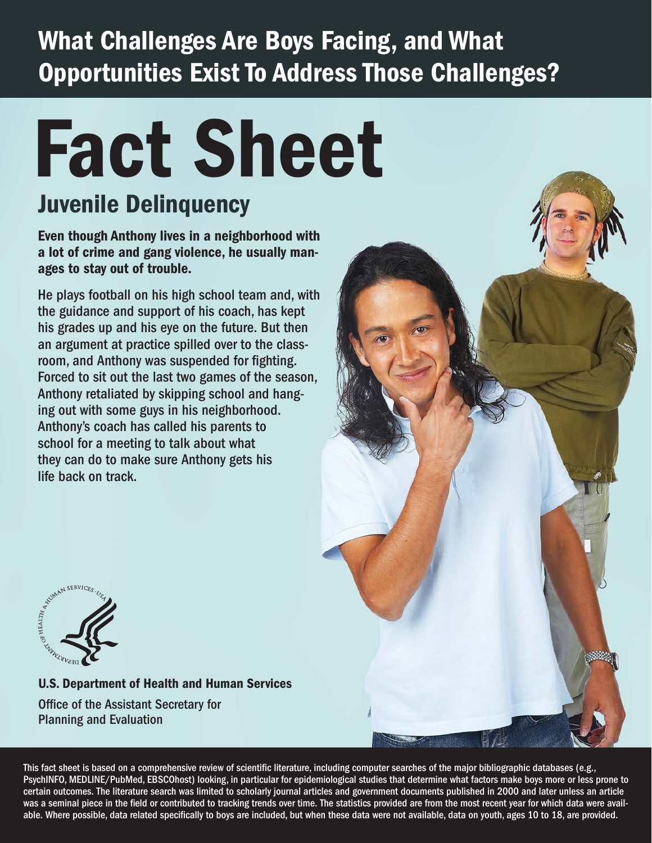### What Challenges Are Boys Facing, and What Opportunities Exist To Address Those Challenges?

# Fact Sheet

### Juvenile Delinquency

Even though Anthony lives in a neighborhood with a lot of crime and gang violence, he usually manages to stay out of trouble.

He plays football on his high school team and, with the guidance and support of his coach, has kept his grades up and his eye on the future. But then an argument at practice spilled over to the classroom, and Anthony was suspended for fighting. Forced to sit out the last two games of the season, Anthony retaliated by skipping school and hanging out with some guys in his neighborhood. Anthony's coach has called his parents to school for a meeting to talk about what they can do to make sure Anthony gets his life back on track.





#### U.S. Department of Health and Human Services Office of the Assistant Secretary for

Planning and Evaluation

This fact sheet is based on a comprehensive review of scientific literature, including computer searches of the major bibliographic databases (e.g., PsychINFO, MEDLINE/PubMed, EBSCOhost) looking, in particular for epidemiological studies that determine what factors make boys more or less prone to certain outcomes. The literature search was limited to scholarly journal articles and government documents published in 2000 and later unless an article was a seminal piece in the field or contributed to tracking trends over time. The statistics provided are from the most recent year for which data were available. Where possible, data related specifically to boys are included, but when these data were not available, data on youth, ages 10 to 18, are provided.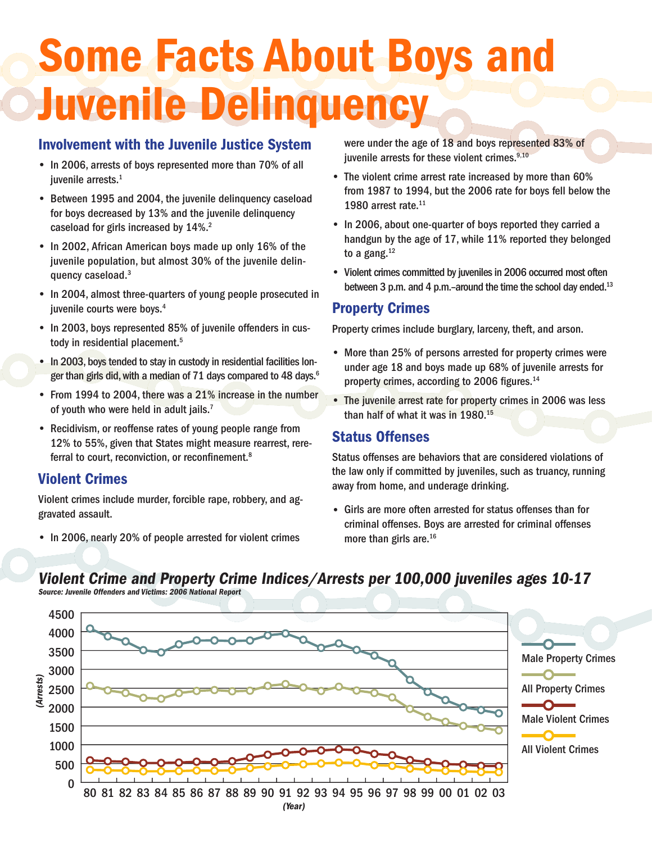### Some Facts About Boys and Juvenile Delinquency

#### Involvement with the Juvenile Justice System

- In 2006, arrests of boys represented more than 70% of all iuvenile arrests.<sup>1</sup>
- Between 1995 and 2004, the juvenile delinquency caseload for boys decreased by 13% and the juvenile delinquency caseload for girls increased by 14%.<sup>2</sup>
- In 2002, African American boys made up only 16% of the juvenile population, but almost 30% of the juvenile delinquency caseload.3
- In 2004, almost three-quarters of young people prosecuted in juvenile courts were boys.<sup>4</sup>
- In 2003, boys represented 85% of juvenile offenders in custody in residential placement.<sup>5</sup>
- In 2003, boys tended to stay in custody in residential facilities longer than girls did, with a median of 71 days compared to 48 days.<sup>6</sup>
- From 1994 to 2004, there was a 21% increase in the number of youth who were held in adult jails.<sup>7</sup>
- Recidivism, or reoffense rates of young people range from 12% to 55%, given that States might measure rearrest, rereferral to court, reconviction, or reconfinement.<sup>8</sup>

#### Violent Crimes

Violent crimes include murder, forcible rape, robbery, and aggravated assault.

• In 2006, nearly 20% of people arrested for violent crimes

were under the age of 18 and boys represented 83% of iuvenile arrests for these violent crimes. $9,10$ 

- The violent crime arrest rate increased by more than 60% from 1987 to 1994, but the 2006 rate for boys fell below the 1980 arrest rate.<sup>11</sup>
- In 2006, about one-quarter of boys reported they carried a handgun by the age of 17, while 11% reported they belonged to a gang. $12$
- Violent crimes committed by juveniles in 2006 occurred most often between 3 p.m. and 4 p.m.-around the time the school day ended.<sup>13</sup>

#### Property Crimes

Property crimes include burglary, larceny, theft, and arson.

- More than 25% of persons arrested for property crimes were under age 18 and boys made up 68% of juvenile arrests for property crimes, according to 2006 figures.<sup>14</sup>
- The juvenile arrest rate for property crimes in 2006 was less than half of what it was in 1980.15

#### Status Offenses

Status offenses are behaviors that are considered violations of the law only if committed by juveniles, such as truancy, running away from home, and underage drinking.

• Girls are more often arrested for status offenses than for criminal offenses. Boys are arrested for criminal offenses more than girls are.<sup>16</sup>



#### Violent Crime and Property Crime Indices/Arrests per 100,000 juveniles ages 10-17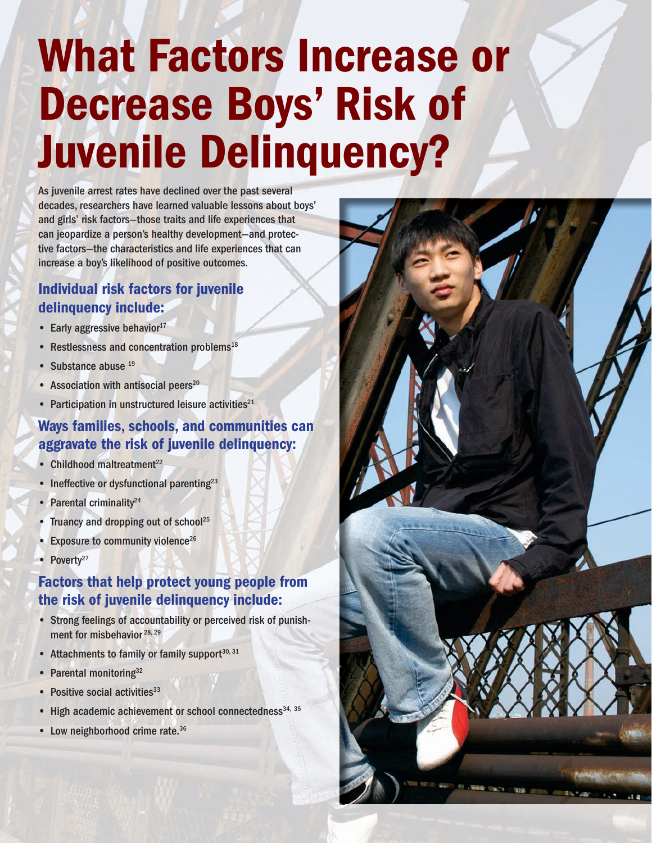## What Factors Increase or Decrease Boys' Risk of Juvenile Delinquency?

As juvenile arrest rates have declined over the past several decades, researchers have learned valuable lessons about boys' and girls' risk factors—those traits and life experiences that can jeopardize a person's healthy development—and protective factors—the characteristics and life experiences that can increase a boy's likelihood of positive outcomes.

#### Individual risk factors for juvenile delinquency include:

- $\bullet$  Early aggressive behavior<sup>17</sup>
- Restlessness and concentration problems<sup>18</sup>
- Substance abuse 19
- Association with antisocial peers $20$
- Participation in unstructured leisure activities $21$

#### Ways families, schools, and communities can aggravate the risk of juvenile delinquency:

- $\bullet$  Childhood maltreatment<sup>22</sup>
- Ineffective or dysfunctional parenting<sup>23</sup>
- Parental criminality $24$
- Truancy and dropping out of school<sup>25</sup>
- Exposure to community violence<sup>26</sup>
- Poverty<sup>27</sup>

#### Factors that help protect young people from the risk of juvenile delinquency include:

- Strong feelings of accountability or perceived risk of punishment for misbehavior<sup>28, 29</sup>
- Attachments to family or family support $30,31$
- Parental monitoring<sup>32</sup>
- $\bullet$  Positive social activities<sup>33</sup>
- High academic achievement or school connectedness<sup>34, 35</sup>
- Low neighborhood crime rate.<sup>36</sup>